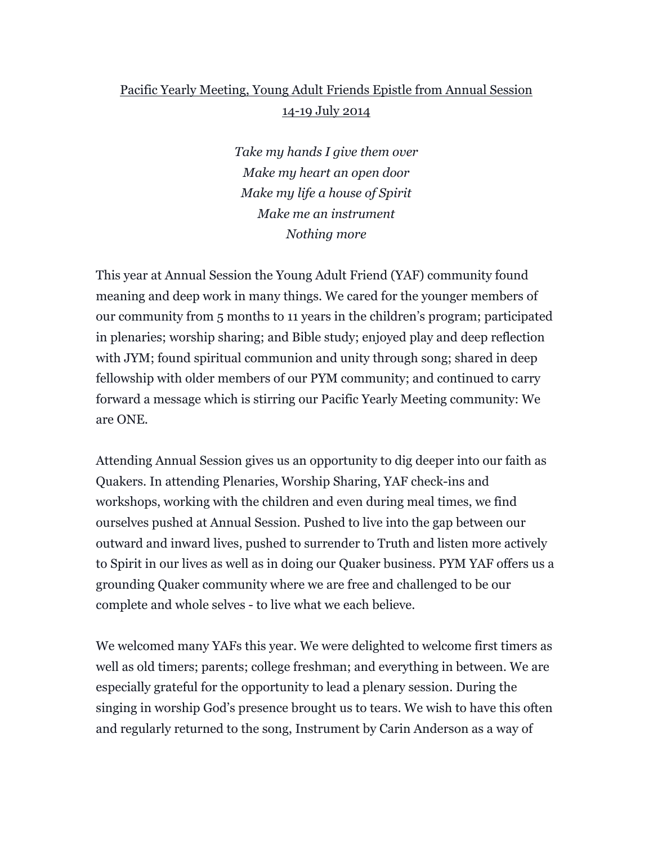## Pacific Yearly Meeting, Young Adult Friends Epistle from Annual Session 14-19 July 2014

*Take my hands I give them over Make my heart an open door Make my life a house of Spirit Make me an instrument Nothing more*

This year at Annual Session the Young Adult Friend (YAF) community found meaning and deep work in many things. We cared for the younger members of our community from 5 months to 11 years in the children's program; participated in plenaries; worship sharing; and Bible study; enjoyed play and deep reflection with JYM; found spiritual communion and unity through song; shared in deep fellowship with older members of our PYM community; and continued to carry forward a message which is stirring our Pacific Yearly Meeting community: We are ONE.

Attending Annual Session gives us an opportunity to dig deeper into our faith as Quakers. In attending Plenaries, Worship Sharing, YAF check-ins and workshops, working with the children and even during meal times, we find ourselves pushed at Annual Session. Pushed to live into the gap between our outward and inward lives, pushed to surrender to Truth and listen more actively to Spirit in our lives as well as in doing our Quaker business. PYM YAF offers us a grounding Quaker community where we are free and challenged to be our complete and whole selves - to live what we each believe.

We welcomed many YAFs this year. We were delighted to welcome first timers as well as old timers; parents; college freshman; and everything in between. We are especially grateful for the opportunity to lead a plenary session. During the singing in worship God's presence brought us to tears. We wish to have this often and regularly returned to the song, Instrument by Carin Anderson as a way of